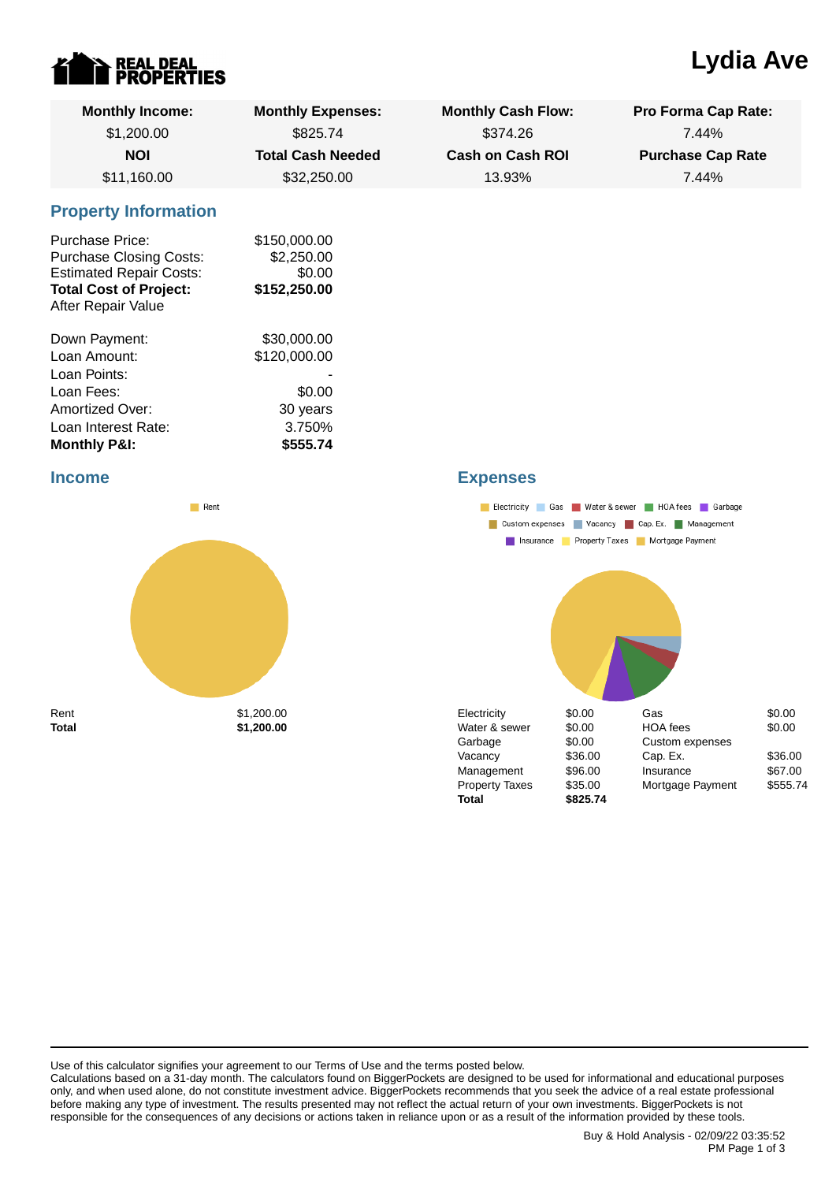

# **Lydia Ave**

| <b>Monthly Income:</b><br>\$1,200.00                                                                                                              | <b>Monthly Expenses:</b><br>\$825.74                 | <b>Monthly Cash Flow:</b><br>\$374.26 | <b>Pro Forma Cap Rate:</b><br>7.44% |
|---------------------------------------------------------------------------------------------------------------------------------------------------|------------------------------------------------------|---------------------------------------|-------------------------------------|
|                                                                                                                                                   |                                                      |                                       |                                     |
| <b>NOI</b>                                                                                                                                        | <b>Total Cash Needed</b>                             | <b>Cash on Cash ROI</b>               | <b>Purchase Cap Rate</b>            |
| \$11,160.00                                                                                                                                       | \$32,250.00                                          | 13.93%                                | 7.44%                               |
| <b>Property Information</b>                                                                                                                       |                                                      |                                       |                                     |
| <b>Purchase Price:</b><br><b>Purchase Closing Costs:</b><br><b>Estimated Repair Costs:</b><br><b>Total Cost of Project:</b><br>After Repair Value | \$150,000.00<br>\$2,250.00<br>\$0.00<br>\$152,250.00 |                                       |                                     |
| Down Payment:                                                                                                                                     | \$30,000.00                                          |                                       |                                     |
| Loan Amount:                                                                                                                                      | \$120,000.00                                         |                                       |                                     |
| Loan Points:                                                                                                                                      |                                                      |                                       |                                     |
| Loan Fees:                                                                                                                                        | \$0.00                                               |                                       |                                     |
| Amortized Over:                                                                                                                                   | 30 years                                             |                                       |                                     |
| Loan Interest Rate:                                                                                                                               | 3.750%                                               |                                       |                                     |
| <b>Monthly P&amp;I:</b>                                                                                                                           | \$555.74                                             |                                       |                                     |

#### **Income**



## **Expenses**



Use of this calculator signifies your agreement to our Terms of Use and the terms posted below.

Calculations based on a 31-day month. The calculators found on BiggerPockets are designed to be used for informational and educational purposes only, and when used alone, do not constitute investment advice. BiggerPockets recommends that you seek the advice of a real estate professional before making any type of investment. The results presented may not reflect the actual return of your own investments. BiggerPockets is not responsible for the consequences of any decisions or actions taken in reliance upon or as a result of the information provided by these tools.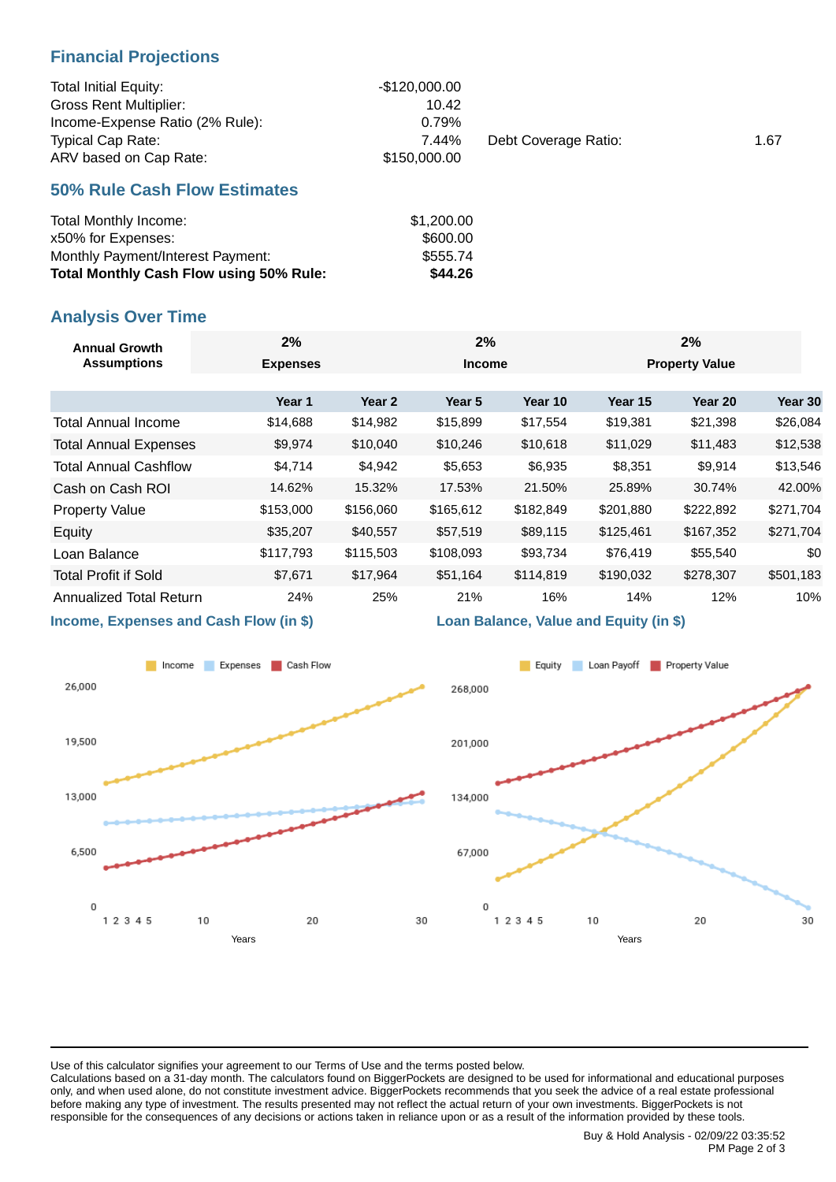## **Financial Projections**

| <b>Total Initial Equity:</b>    | -\$120,000.00 |                      |      |
|---------------------------------|---------------|----------------------|------|
| <b>Gross Rent Multiplier:</b>   | 10.42         |                      |      |
| Income-Expense Ratio (2% Rule): | 0.79%         |                      |      |
| <b>Typical Cap Rate:</b>        | 7.44%         | Debt Coverage Ratio: | 1.67 |
| ARV based on Cap Rate:          | \$150,000,00  |                      |      |

#### **50% Rule Cash Flow Estimates**

| Total Monthly Income:                          | \$1,200.00 |
|------------------------------------------------|------------|
| x50% for Expenses:                             | \$600.00   |
| Monthly Payment/Interest Payment:              | \$555.74   |
| <b>Total Monthly Cash Flow using 50% Rule:</b> | \$44.26    |

## **Analysis Over Time**

| <b>Annual Growth</b><br><b>Assumptions</b> | 2%              | 2%                |                   | 2%        |           |                       |           |
|--------------------------------------------|-----------------|-------------------|-------------------|-----------|-----------|-----------------------|-----------|
|                                            | <b>Expenses</b> |                   | <b>Income</b>     |           |           | <b>Property Value</b> |           |
|                                            |                 |                   |                   |           |           |                       |           |
|                                            | Year 1          | Year <sub>2</sub> | Year <sub>5</sub> | Year 10   | Year 15   | Year 20               | Year 30   |
| Total Annual Income                        | \$14,688        | \$14,982          | \$15,899          | \$17,554  | \$19,381  | \$21,398              | \$26,084  |
| <b>Total Annual Expenses</b>               | \$9,974         | \$10,040          | \$10,246          | \$10,618  | \$11,029  | \$11,483              | \$12,538  |
| <b>Total Annual Cashflow</b>               | \$4,714         | \$4,942           | \$5,653           | \$6,935   | \$8,351   | \$9,914               | \$13,546  |
| Cash on Cash ROI                           | 14.62%          | 15.32%            | 17.53%            | 21.50%    | 25.89%    | 30.74%                | 42.00%    |
| <b>Property Value</b>                      | \$153,000       | \$156,060         | \$165,612         | \$182,849 | \$201,880 | \$222,892             | \$271,704 |
| Equity                                     | \$35,207        | \$40,557          | \$57,519          | \$89,115  | \$125,461 | \$167,352             | \$271,704 |
| Loan Balance                               | \$117,793       | \$115,503         | \$108,093         | \$93,734  | \$76,419  | \$55,540              | \$0       |
| <b>Total Profit if Sold</b>                | \$7,671         | \$17,964          | \$51,164          | \$114,819 | \$190,032 | \$278,307             | \$501,183 |
| <b>Annualized Total Return</b>             | 24%             | 25%               | 21%               | 16%       | 14%       | 12%                   | 10%       |
|                                            |                 |                   |                   |           |           |                       |           |

**Income, Expenses and Cash Flow (in \$)**



#### **Loan Balance, Value and Equity (in \$)**



Use of this calculator signifies your agreement to our Terms of Use and the terms posted below.

Calculations based on a 31-day month. The calculators found on BiggerPockets are designed to be used for informational and educational purposes only, and when used alone, do not constitute investment advice. BiggerPockets recommends that you seek the advice of a real estate professional before making any type of investment. The results presented may not reflect the actual return of your own investments. BiggerPockets is not responsible for the consequences of any decisions or actions taken in reliance upon or as a result of the information provided by these tools.